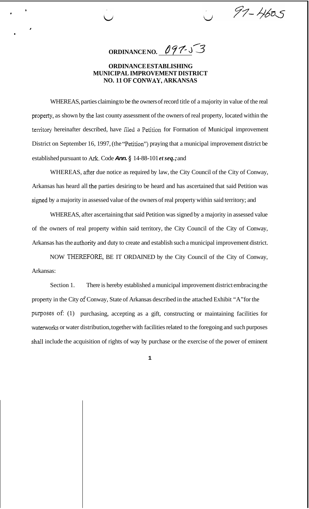**ORDINANCE NO.** 097-53

 $97 - 4605$ 

## **ORDINANCE ESTABLISHING MUNICIPAL IMPROVEMENT DISTRICT NO. 11 OF CONWAY, ARKANSAS**

**1** 

*J* 

*I* 

WHEREAS, parties claiming to be the owners of record title of a majority in value of the real property, as shown by the last county assessment of the owners of real property, located within the territory hereinafter described, have filed a Petition for Formation of Municipal improvement District on September 16, 1997, (the "Petition") praying that a municipal improvement district be established pursuant to Ark. Code *Ann.* **9** 14-88-101 *et seq.;* and

WHEREAS, after due notice as required by law, the City Council of the City of Conway, Arkansas has heard all ihe parties desiring to be heard and has ascertained that said Petition was signed by a majority in assessed value of the owners of real property within said territory; and

WHEREAS, after ascertaining that said Petition was signed by a majority in assessed value of the owners of real property within said territory, the City Council of the City of Conway, Arkansas has the authority and duty to create and establish such a municipal improvement district.

NOW THEREFORE, BE IT ORDAINED by the City Council of the City of Conway, Arkansas:

Section 1. There is hereby established a municipal improvement district embracing the property in the City af Conway, State of Arkansas described in the attached Exhibit "A" for the purposes of: (1) purchasing, accepting as a gift, constructing or maintaining facilities for waterworks or water distribution, together with facilities related to the foregoing and such purposes sball include the acquisition of rights of way by purchase or the exercise of the power of eminent

**1**